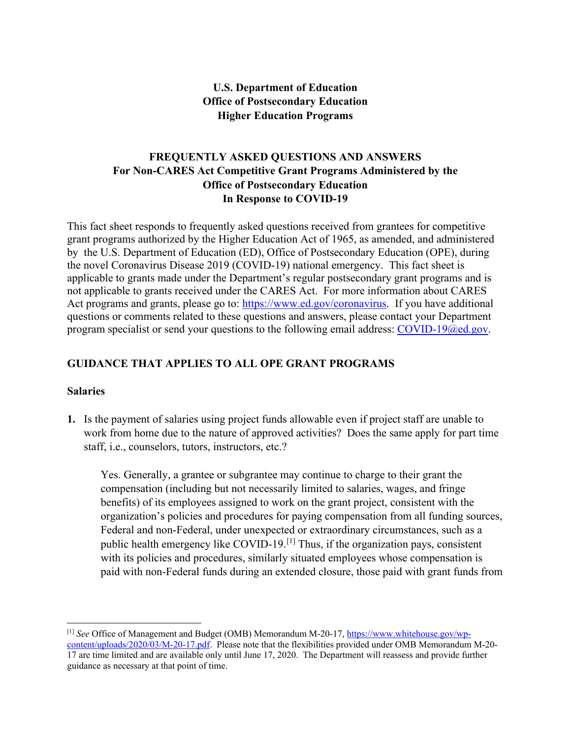#### **U.S. Department of Education Office of Postsecondary Education Higher Education Programs**

#### **FREQUENTLY ASKED QUESTIONS AND ANSWERS For Non-CARES Act Competitive Grant Programs Administered by the Office of Postsecondary Education In Response to COVID-19**

This fact sheet responds to frequently asked questions received from grantees for competitive grant programs authorized by the Higher Education Act of 1965, as amended, and administered by the U.S. Department of Education (ED), Office of Postsecondary Education (OPE), during the novel Coronavirus Disease 2019 (COVID-19) national emergency. This fact sheet is applicable to grants made under the Department's regular postsecondary grant programs and is not applicable to grants received under the CARES Act. For more information about CARES Act programs and grants, please go to: [https://www.ed.gov/coronavirus.](https://www.ed.gov/coronavirus) If you have additional questions or comments related to these questions and answers, please contact your Department program specialist or send your questions to the following email address: [COVID-19@ed.gov.](mailto:COVID-19@ed.gov)

#### **GUIDANCE THAT APPLIES TO ALL OPE GRANT PROGRAMS**

#### **Salaries**

**1.** Is the payment of salaries using project funds allowable even if project staff are unable to work from home due to the nature of approved activities? Does the same apply for part time staff, i.e., counselors, tutors, instructors, etc.?

Yes. Generally, a grantee or subgrantee may continue to charge to their grant the compensation (including but not necessarily limited to salaries, wages, and fringe benefits) of its employees assigned to work on the grant project, consistent with the organization's policies and procedures for paying compensation from all funding sources, Federal and non-Federal, under unexpected or extraordinary circumstances, such as a public health emergency like COVID-19.[\[1\]](#page-0-0) Thus, if the organization pays, consistent with its policies and procedures, similarly situated employees whose compensation is paid with non-Federal funds during an extended closure, those paid with grant funds from

<span id="page-0-0"></span><sup>[1]</sup> *See* Office of Management and Budget (OMB) Memorandum M-20-17, [https://www.whitehouse.gov/wp](https://www.whitehouse.gov/wp-content/uploads/2020/03/M-20-17.pdf)[content/uploads/2020/03/M-20-17.pdf.](https://www.whitehouse.gov/wp-content/uploads/2020/03/M-20-17.pdf) Please note that the flexibilities provided under OMB Memorandum M-20-

<sup>17</sup> are time limited and are available only until June 17, 2020. The Department will reassess and provide further guidance as necessary at that point of time.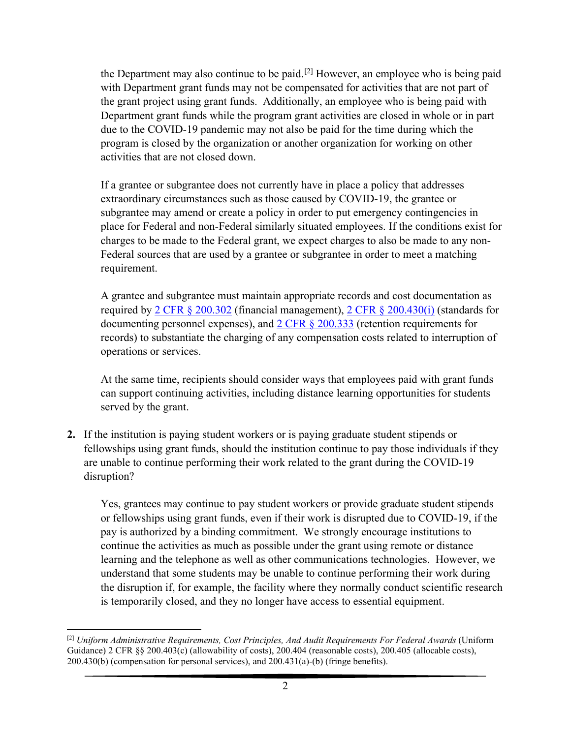the Department may also continue to be paid.<sup>[\[2\]](#page-1-0)</sup> However, an employee who is being paid with Department grant funds may not be compensated for activities that are not part of the grant project using grant funds. Additionally, an employee who is being paid with Department grant funds while the program grant activities are closed in whole or in part due to the COVID-19 pandemic may not also be paid for the time during which the program is closed by the organization or another organization for working on other activities that are not closed down.

If a grantee or subgrantee does not currently have in place a policy that addresses extraordinary circumstances such as those caused by COVID-19, the grantee or subgrantee may amend or create a policy in order to put emergency contingencies in place for Federal and non-Federal similarly situated employees. If the conditions exist for charges to be made to the Federal grant, we expect charges to also be made to any non-Federal sources that are used by a grantee or subgrantee in order to meet a matching requirement.

A grantee and subgrantee must maintain appropriate records and cost documentation as required by 2 CFR  $\S 200.302$  (financial management), 2 CFR  $\S 200.430(i)$  (standards for documenting personnel expenses), and [2 CFR §](https://www.ecfr.gov/cgi-bin/text-idx?SID=4aa24dcf2aea16839f2318de64e2ab7f&mc=true&node=pt2.1.200&rgn=div5#se2.1.200_1333) 200.333 (retention requirements for records) to substantiate the charging of any compensation costs related to interruption of operations or services.

At the same time, recipients should consider ways that employees paid with grant funds can support continuing activities, including distance learning opportunities for students served by the grant.

**2.** If the institution is paying student workers or is paying graduate student stipends or fellowships using grant funds, should the institution continue to pay those individuals if they are unable to continue performing their work related to the grant during the COVID-19 disruption?

Yes, grantees may continue to pay student workers or provide graduate student stipends or fellowships using grant funds, even if their work is disrupted due to COVID-19, if the pay is authorized by a binding commitment. We strongly encourage institutions to continue the activities as much as possible under the grant using remote or distance learning and the telephone as well as other communications technologies. However, we understand that some students may be unable to continue performing their work during the disruption if, for example, the facility where they normally conduct scientific research is temporarily closed, and they no longer have access to essential equipment.

<span id="page-1-0"></span><sup>[2]</sup> *Uniform Administrative Requirements, Cost Principles, And Audit Requirements For Federal Awards* (Uniform Guidance) 2 CFR §§ 200.403(c) (allowability of costs), 200.404 (reasonable costs), 200.405 (allocable costs), 200.430(b) (compensation for personal services), and 200.431(a)-(b) (fringe benefits).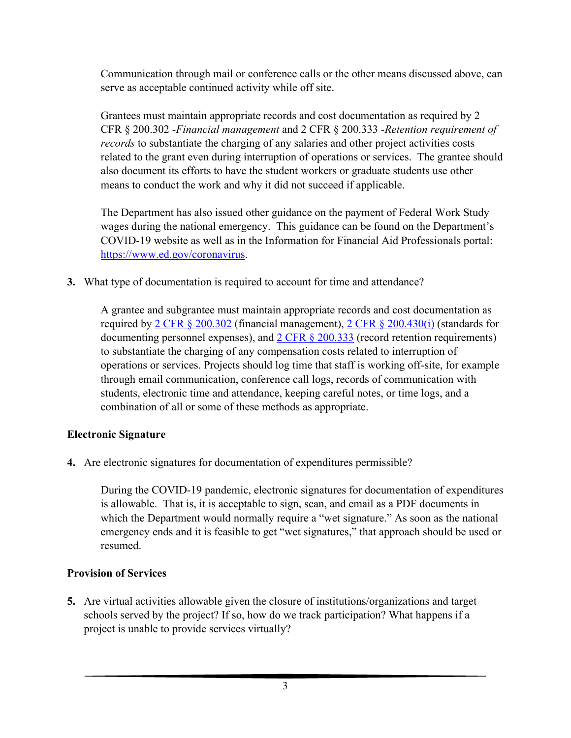Communication through mail or conference calls or the other means discussed above, can serve as acceptable continued activity while off site.

Grantees must maintain appropriate records and cost documentation as required by 2 CFR § 200.302 -*Financial management* and 2 CFR § 200.333 -*Retention requirement of records* to substantiate the charging of any salaries and other project activities costs related to the grant even during interruption of operations or services. The grantee should also document its efforts to have the student workers or graduate students use other means to conduct the work and why it did not succeed if applicable.

The Department has also issued other guidance on the payment of Federal Work Study wages during the national emergency. This guidance can be found on the Department's COVID-19 website as well as in the Information for Financial Aid Professionals portal: [https://www.ed.gov/coronavirus.](https://www.ed.gov/coronavirus)

**3.** What type of documentation is required to account for time and attendance?

A grantee and subgrantee must maintain appropriate records and cost documentation as required by 2 CFR  $\S 200.302$  (financial management), 2 CFR  $\S 200.430(i)$  (standards for documenting personnel expenses), and [2 CFR §](https://www.ecfr.gov/cgi-bin/text-idx?SID=4aa24dcf2aea16839f2318de64e2ab7f&mc=true&node=pt2.1.200&rgn=div5#se2.1.200_1333) 200.333 (record retention requirements) to substantiate the charging of any compensation costs related to interruption of operations or services. Projects should log time that staff is working off-site, for example through email communication, conference call logs, records of communication with students, electronic time and attendance, keeping careful notes, or time logs, and a combination of all or some of these methods as appropriate.

## **Electronic Signature**

**4.** Are electronic signatures for documentation of expenditures permissible?

During the COVID-19 pandemic, electronic signatures for documentation of expenditures is allowable. That is, it is acceptable to sign, scan, and email as a PDF documents in which the Department would normally require a "wet signature." As soon as the national emergency ends and it is feasible to get "wet signatures," that approach should be used or resumed.

## **Provision of Services**

**5.** Are virtual activities allowable given the closure of institutions/organizations and target schools served by the project? If so, how do we track participation? What happens if a project is unable to provide services virtually?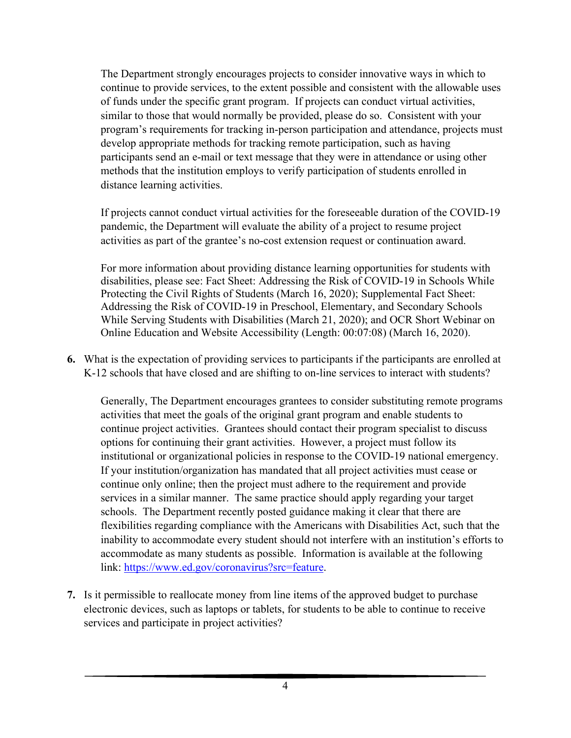The Department strongly encourages projects to consider innovative ways in which to continue to provide services, to the extent possible and consistent with the allowable uses of funds under the specific grant program. If projects can conduct virtual activities, similar to those that would normally be provided, please do so. Consistent with your program's requirements for tracking in-person participation and attendance, projects must develop appropriate methods for tracking remote participation, such as having participants send an e-mail or text message that they were in attendance or using other methods that the institution employs to verify participation of students enrolled in distance learning activities.

If projects cannot conduct virtual activities for the foreseeable duration of the COVID-19 pandemic, the Department will evaluate the ability of a project to resume project activities as part of the grantee's no-cost extension request or continuation award.

For more information about providing distance learning opportunities for students with disabilities, please see: Fact Sheet: Addressing the Risk of COVID-19 in Schools While Protecting the Civil Rights of Students (March 16, 2020); Supplemental Fact Sheet: Addressing the Risk of COVID-19 in Preschool, Elementary, and Secondary Schools While Serving Students with Disabilities (March 21, 2020); and OCR Short Webinar on Online Education and Website Accessibility (Length: 00:07:08) (March 16, 2020).

**6.** What is the expectation of providing services to participants if the participants are enrolled at K-12 schools that have closed and are shifting to on-line services to interact with students?

Generally, The Department encourages grantees to consider substituting remote programs activities that meet the goals of the original grant program and enable students to continue project activities. Grantees should contact their program specialist to discuss options for continuing their grant activities. However, a project must follow its institutional or organizational policies in response to the COVID-19 national emergency. If your institution/organization has mandated that all project activities must cease or continue only online; then the project must adhere to the requirement and provide services in a similar manner. The same practice should apply regarding your target schools. The Department recently posted guidance making it clear that there are flexibilities regarding compliance with the Americans with Disabilities Act, such that the inability to accommodate every student should not interfere with an institution's efforts to accommodate as many students as possible. Information is available at the following link: [https://www.ed.gov/coronavirus?src=feature.](https://www.ed.gov/coronavirus?src=feature)

**7.** Is it permissible to reallocate money from line items of the approved budget to purchase electronic devices, such as laptops or tablets, for students to be able to continue to receive services and participate in project activities?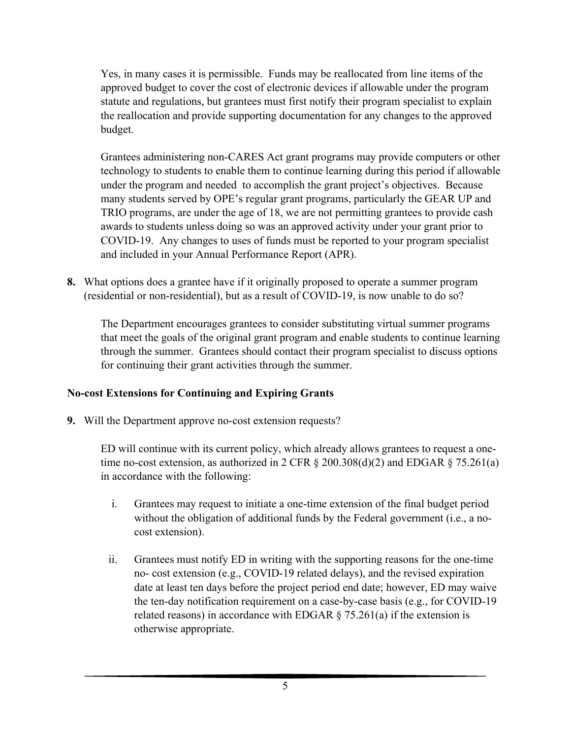Yes, in many cases it is permissible. Funds may be reallocated from line items of the approved budget to cover the cost of electronic devices if allowable under the program statute and regulations, but grantees must first notify their program specialist to explain the reallocation and provide supporting documentation for any changes to the approved budget.

Grantees administering non-CARES Act grant programs may provide computers or other technology to students to enable them to continue learning during this period if allowable under the program and needed to accomplish the grant project's objectives. Because many students served by OPE's regular grant programs, particularly the GEAR UP and TRIO programs, are under the age of 18, we are not permitting grantees to provide cash awards to students unless doing so was an approved activity under your grant prior to COVID-19. Any changes to uses of funds must be reported to your program specialist and included in your Annual Performance Report (APR).

**8.** What options does a grantee have if it originally proposed to operate a summer program (residential or non-residential), but as a result of COVID-19, is now unable to do so?

The Department encourages grantees to consider substituting virtual summer programs that meet the goals of the original grant program and enable students to continue learning through the summer. Grantees should contact their program specialist to discuss options for continuing their grant activities through the summer.

## **No-cost Extensions for Continuing and Expiring Grants**

**9.** Will the Department approve no-cost extension requests?

ED will continue with its current policy, which already allows grantees to request a onetime no-cost extension, as authorized in 2 CFR  $\S$  200.308(d)(2) and EDGAR  $\S$  75.261(a) in accordance with the following:

- i. Grantees may request to initiate a one-time extension of the final budget period without the obligation of additional funds by the Federal government (i.e., a nocost extension).
- ii. Grantees must notify ED in writing with the supporting reasons for the one-time no- cost extension (e.g., COVID-19 related delays), and the revised expiration date at least ten days before the project period end date; however, ED may waive the ten-day notification requirement on a case-by-case basis (e.g., for COVID-19 related reasons) in accordance with EDGAR  $\S$  75.261(a) if the extension is otherwise appropriate.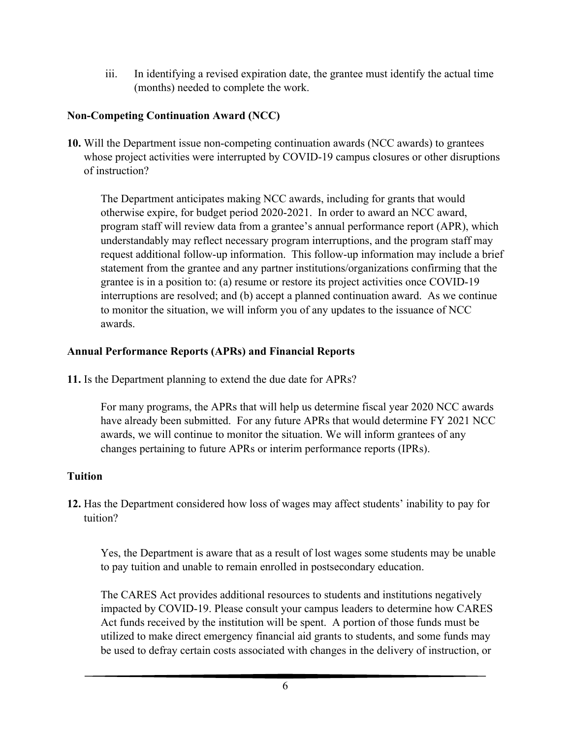iii. In identifying a revised expiration date, the grantee must identify the actual time (months) needed to complete the work.

# **Non-Competing Continuation Award (NCC)**

**10.** Will the Department issue non-competing continuation awards (NCC awards) to grantees whose project activities were interrupted by COVID-19 campus closures or other disruptions of instruction?

The Department anticipates making NCC awards, including for grants that would otherwise expire, for budget period 2020-2021. In order to award an NCC award, program staff will review data from a grantee's annual performance report (APR), which understandably may reflect necessary program interruptions, and the program staff may request additional follow-up information. This follow-up information may include a brief statement from the grantee and any partner institutions/organizations confirming that the grantee is in a position to: (a) resume or restore its project activities once COVID-19 interruptions are resolved; and (b) accept a planned continuation award. As we continue to monitor the situation, we will inform you of any updates to the issuance of NCC awards.

#### **Annual Performance Reports (APRs) and Financial Reports**

**11.** Is the Department planning to extend the due date for APRs?

For many programs, the APRs that will help us determine fiscal year 2020 NCC awards have already been submitted. For any future APRs that would determine FY 2021 NCC awards, we will continue to monitor the situation. We will inform grantees of any changes pertaining to future APRs or interim performance reports (IPRs).

## **Tuition**

**12.** Has the Department considered how loss of wages may affect students' inability to pay for tuition?

Yes, the Department is aware that as a result of lost wages some students may be unable to pay tuition and unable to remain enrolled in postsecondary education.

The CARES Act provides additional resources to students and institutions negatively impacted by COVID-19. Please consult your campus leaders to determine how CARES Act funds received by the institution will be spent. A portion of those funds must be utilized to make direct emergency financial aid grants to students, and some funds may be used to defray certain costs associated with changes in the delivery of instruction, or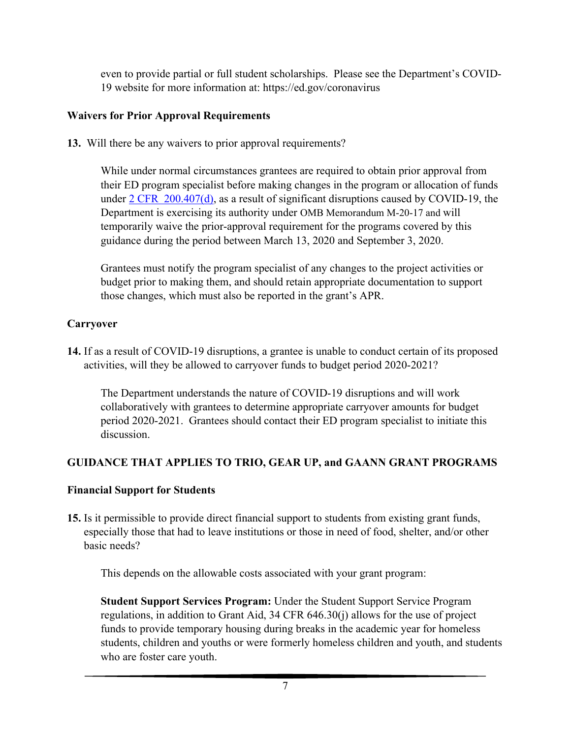even to provide partial or full student scholarships. Please see the Department's COVID-19 website for more information at: https://ed.gov/coronavirus

# **Waivers for Prior Approval Requirements**

**13.** Will there be any waivers to prior approval requirements?

While under normal circumstances grantees are required to obtain prior approval from their ED program specialist before making changes in the program or allocation of funds under  $2$  CFR  $200.407(d)$ , as a result of significant disruptions caused by COVID-19, the Department is exercising its authority under OMB Memorandum M-20-17 and will temporarily waive the prior-approval requirement for the programs covered by this guidance during the period between March 13, 2020 and September 3, 2020.

Grantees must notify the program specialist of any changes to the project activities or budget prior to making them, and should retain appropriate documentation to support those changes, which must also be reported in the grant's APR.

# **Carryover**

**14.** If as a result of COVID-19 disruptions, a grantee is unable to conduct certain of its proposed activities, will they be allowed to carryover funds to budget period 2020-2021?

The Department understands the nature of COVID-19 disruptions and will work collaboratively with grantees to determine appropriate carryover amounts for budget period 2020-2021. Grantees should contact their ED program specialist to initiate this discussion.

# **GUIDANCE THAT APPLIES TO TRIO, GEAR UP, and GAANN GRANT PROGRAMS**

## **Financial Support for Students**

**15.** Is it permissible to provide direct financial support to students from existing grant funds, especially those that had to leave institutions or those in need of food, shelter, and/or other basic needs?

This depends on the allowable costs associated with your grant program:

**Student Support Services Program:** Under the Student Support Service Program regulations, in addition to Grant Aid, 34 CFR 646.30(j) allows for the use of project funds to provide temporary housing during breaks in the academic year for homeless students, children and youths or were formerly homeless children and youth, and students who are foster care youth.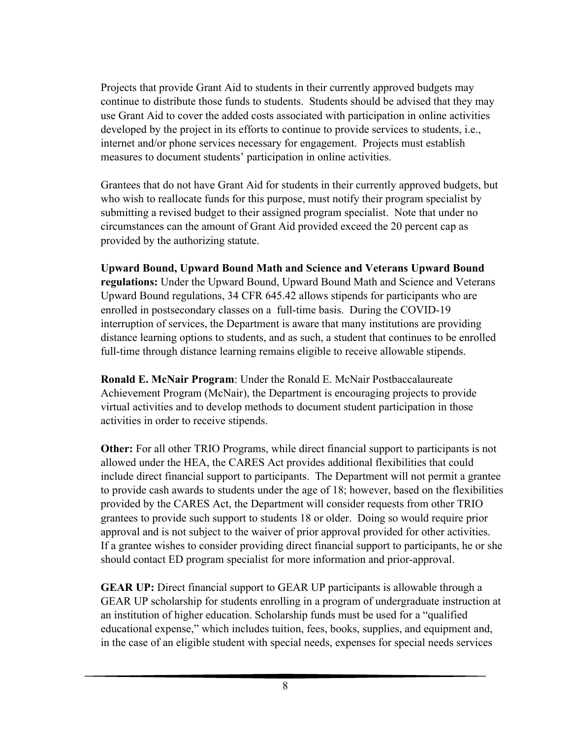Projects that provide Grant Aid to students in their currently approved budgets may continue to distribute those funds to students. Students should be advised that they may use Grant Aid to cover the added costs associated with participation in online activities developed by the project in its efforts to continue to provide services to students, i.e., internet and/or phone services necessary for engagement. Projects must establish measures to document students' participation in online activities.

Grantees that do not have Grant Aid for students in their currently approved budgets, but who wish to reallocate funds for this purpose, must notify their program specialist by submitting a revised budget to their assigned program specialist. Note that under no circumstances can the amount of Grant Aid provided exceed the 20 percent cap as provided by the authorizing statute.

**Upward Bound, Upward Bound Math and Science and Veterans Upward Bound regulations:** Under the Upward Bound, Upward Bound Math and Science and Veterans Upward Bound regulations, 34 CFR 645.42 allows stipends for participants who are enrolled in postsecondary classes on a full-time basis. During the COVID-19 interruption of services, the Department is aware that many institutions are providing distance learning options to students, and as such, a student that continues to be enrolled full-time through distance learning remains eligible to receive allowable stipends.

**Ronald E. McNair Program**: Under the Ronald E. McNair Postbaccalaureate Achievement Program (McNair), the Department is encouraging projects to provide virtual activities and to develop methods to document student participation in those activities in order to receive stipends.

**Other:** For all other TRIO Programs, while direct financial support to participants is not allowed under the HEA, the CARES Act provides additional flexibilities that could include direct financial support to participants. The Department will not permit a grantee to provide cash awards to students under the age of 18; however, based on the flexibilities provided by the CARES Act, the Department will consider requests from other TRIO grantees to provide such support to students 18 or older. Doing so would require prior approval and is not subject to the waiver of prior approval provided for other activities. If a grantee wishes to consider providing direct financial support to participants, he or she should contact ED program specialist for more information and prior-approval.

**GEAR UP:** Direct financial support to GEAR UP participants is allowable through a GEAR UP scholarship for students enrolling in a program of undergraduate instruction at an institution of higher education. Scholarship funds must be used for a "qualified educational expense," which includes tuition, fees, books, supplies, and equipment and, in the case of an eligible student with special needs, expenses for special needs services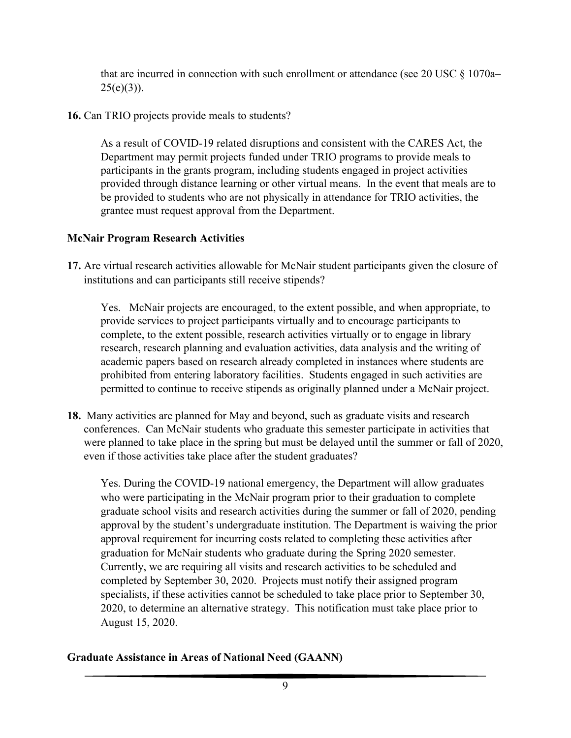that are incurred in connection with such enrollment or attendance (see 20 USC § 1070a–  $25(e)(3)$ ).

**16.** Can TRIO projects provide meals to students?

As a result of COVID-19 related disruptions and consistent with the CARES Act, the Department may permit projects funded under TRIO programs to provide meals to participants in the grants program, including students engaged in project activities provided through distance learning or other virtual means. In the event that meals are to be provided to students who are not physically in attendance for TRIO activities, the grantee must request approval from the Department.

## **McNair Program Research Activities**

**17.** Are virtual research activities allowable for McNair student participants given the closure of institutions and can participants still receive stipends?

Yes. McNair projects are encouraged, to the extent possible, and when appropriate, to provide services to project participants virtually and to encourage participants to complete, to the extent possible, research activities virtually or to engage in library research, research planning and evaluation activities, data analysis and the writing of academic papers based on research already completed in instances where students are prohibited from entering laboratory facilities. Students engaged in such activities are permitted to continue to receive stipends as originally planned under a McNair project.

**18.** Many activities are planned for May and beyond, such as graduate visits and research conferences. Can McNair students who graduate this semester participate in activities that were planned to take place in the spring but must be delayed until the summer or fall of 2020, even if those activities take place after the student graduates?

Yes. During the COVID-19 national emergency, the Department will allow graduates who were participating in the McNair program prior to their graduation to complete graduate school visits and research activities during the summer or fall of 2020, pending approval by the student's undergraduate institution. The Department is waiving the prior approval requirement for incurring costs related to completing these activities after graduation for McNair students who graduate during the Spring 2020 semester. Currently, we are requiring all visits and research activities to be scheduled and completed by September 30, 2020. Projects must notify their assigned program specialists, if these activities cannot be scheduled to take place prior to September 30, 2020, to determine an alternative strategy. This notification must take place prior to August 15, 2020.

## **Graduate Assistance in Areas of National Need (GAANN)**